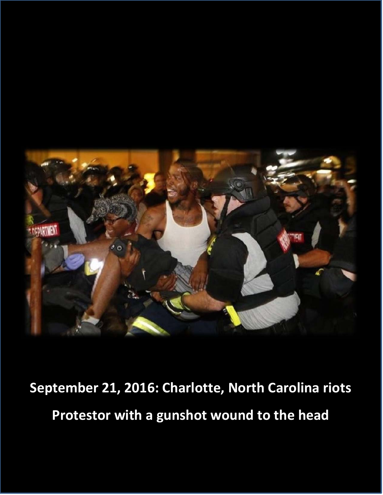

**September 21, 2016: Charlotte, North Carolina riots Protestor with a gunshot wound to the head**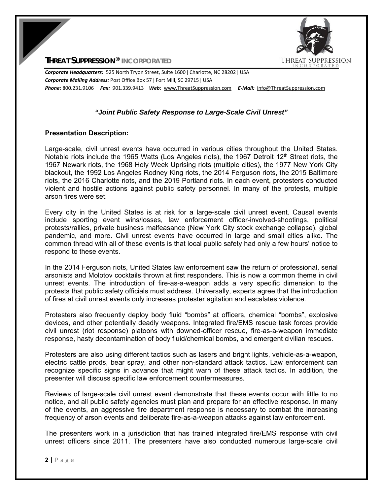

**THREAT SUPPRESSION® INCORPORATED**

*Corporate Headquarters:* 525 North Tryon Street, Suite 1600 ǀ Charlotte, NC 28202 ǀ USA *Corporate Mailing Address:* Post Office Box 57 ǀ Fort Mill, SC 29715 ǀ USA *Phone:* 800.231.9106  *Fax:* 901.339.9413 *Web:* www.ThreatSuppression.com *E‐Mail:*  info@ThreatSuppression.com

## *"Joint Public Safety Response to Large-Scale Civil Unrest"*

## **Presentation Description:**

Large-scale, civil unrest events have occurred in various cities throughout the United States. Notable riots include the 1965 Watts (Los Angeles riots), the 1967 Detroit 12<sup>th</sup> Street riots, the 1967 Newark riots, the 1968 Holy Week Uprising riots (multiple cities), the 1977 New York City blackout, the 1992 Los Angeles Rodney King riots, the 2014 Ferguson riots, the 2015 Baltimore riots, the 2016 Charlotte riots, and the 2019 Portland riots. In each event, protesters conducted violent and hostile actions against public safety personnel. In many of the protests, multiple arson fires were set.

Every city in the United States is at risk for a large-scale civil unrest event. Causal events include sporting event wins/losses, law enforcement officer-involved-shootings, political protests/rallies, private business malfeasance (New York City stock exchange collapse), global pandemic, and more. Civil unrest events have occurred in large and small cities alike. The common thread with all of these events is that local public safety had only a few hours' notice to respond to these events.

In the 2014 Ferguson riots, United States law enforcement saw the return of professional, serial arsonists and Molotov cocktails thrown at first responders. This is now a common theme in civil unrest events. The introduction of fire-as-a-weapon adds a very specific dimension to the protests that public safety officials must address. Universally, experts agree that the introduction of fires at civil unrest events only increases protester agitation and escalates violence.

Protesters also frequently deploy body fluid "bombs" at officers, chemical "bombs", explosive devices, and other potentially deadly weapons. Integrated fire/EMS rescue task forces provide civil unrest (riot response) platoons with downed-officer rescue, fire-as-a-weapon immediate response, hasty decontamination of body fluid/chemical bombs, and emergent civilian rescues.

Protesters are also using different tactics such as lasers and bright lights, vehicle-as-a-weapon, electric cattle prods, bear spray, and other non-standard attack tactics. Law enforcement can recognize specific signs in advance that might warn of these attack tactics. In addition, the presenter will discuss specific law enforcement countermeasures.

Reviews of large-scale civil unrest event demonstrate that these events occur with little to no notice, and all public safety agencies must plan and prepare for an effective response. In many of the events, an aggressive fire department response is necessary to combat the increasing frequency of arson events and deliberate fire-as-a-weapon attacks against law enforcement.

The presenters work in a jurisdiction that has trained integrated fire/EMS response with civil unrest officers since 2011. The presenters have also conducted numerous large-scale civil